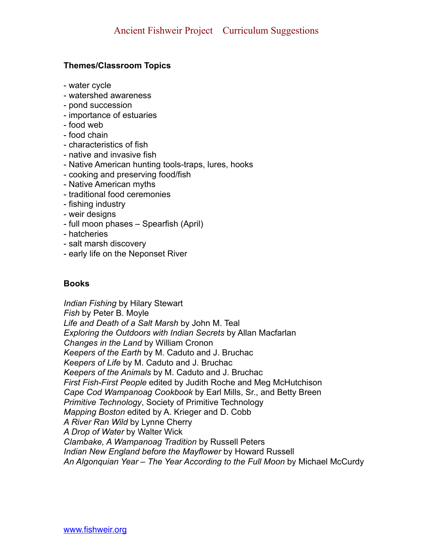# **Themes/Classroom Topics**

- water cycle
- watershed awareness
- pond succession
- importance of estuaries
- food web
- food chain
- characteristics of fish
- native and invasive fish
- Native American hunting tools-traps, lures, hooks
- cooking and preserving food/fish
- Native American myths
- traditional food ceremonies
- fishing industry
- weir designs
- full moon phases Spearfish (April)
- hatcheries
- salt marsh discovery
- early life on the Neponset River

## **Books**

*Indian Fishing* by Hilary Stewart *Fish* by Peter B. Moyle *Life and Death of a Salt Marsh* by John M. Teal *Exploring the Outdoors with Indian Secrets* by Allan Macfarlan *Changes in the Land* by William Cronon *Keepers of the Earth* by M. Caduto and J. Bruchac *Keepers of Life* by M. Caduto and J. Bruchac *Keepers of the Animals* by M. Caduto and J. Bruchac *First Fish-First People* edited by Judith Roche and Meg McHutchison *Cape Cod Wampanoag Cookbook* by Earl Mills, Sr., and Betty Breen *Primitive Technology*, Society of Primitive Technology *Mapping Boston* edited by A. Krieger and D. Cobb *A River Ran Wild* by Lynne Cherry *A Drop of Water* by Walter Wick *Clambake, A Wampanoag Tradition* by Russell Peters *Indian New England before the Mayflower* by Howard Russell *An Algonquian Year – The Year According to the Full Moon* by Michael McCurdy